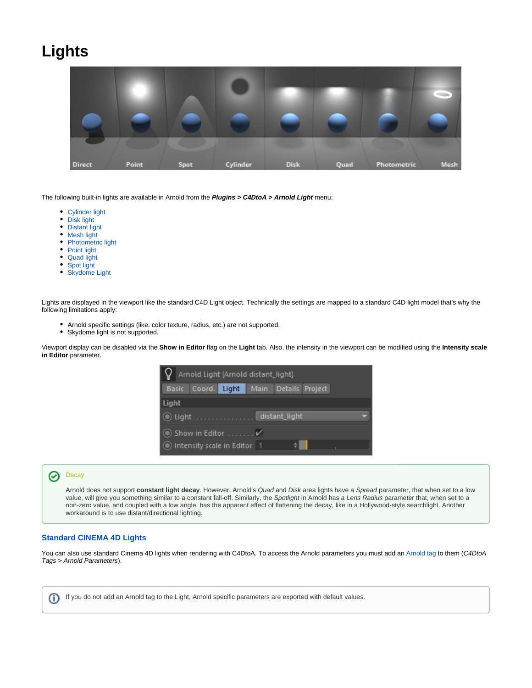## **Lights**



The following built-in lights are available in Arnold from the **Plugins > C4DtoA > Arnold Light** menu:

- [Cylinder light](https://docs.arnoldrenderer.com/display/A5AFCUGJPN/Cylinder+Light)
- $\bullet$ [Disk light](https://docs.arnoldrenderer.com/display/A5AFCUGJPN/Disk+Light)
- $\bullet$ [Distant light](https://docs.arnoldrenderer.com/display/A5AFCUGJPN/Distant+Light)
- $\bullet$ [Mesh light](https://docs.arnoldrenderer.com/pages/viewpage.action?pageId=14352899)
- $\bullet$ [Photometric light](https://docs.arnoldrenderer.com/pages/viewpage.action?pageId=9109926)
- [Point light](https://docs.arnoldrenderer.com/display/A5AFCUGJPN/Point+Light)
- [Quad light](https://docs.arnoldrenderer.com/display/A5AFCUGJPN/Quad+Light)
- Spot light
- [Skydome Light](https://docs.arnoldrenderer.com/display/A5AFCUGJPN/Skydome+Light)

Lights are displayed in the viewport like the standard C4D Light object. Technically the settings are mapped to a standard C4D light model that's why the following limitations apply:

- Arnold specific settings (like. color texture, radius, etc.) are not supported.
- Skydome light is not supported.

Viewport display can be disabled via the **Show in Editor** flag on the **Light** tab. Also, the intensity in the viewport can be modified using the **Intensity scale in Editor** parameter.

| Arnold Light [Arnold distant_light]          |                                   |
|----------------------------------------------|-----------------------------------|
| <b>Basic</b>                                 | Coord. Light Main Details Project |
| Light                                        |                                   |
| $\bullet$ Light.                             | distant light                     |
| $\bullet$ Show in Editor $\ldots \ldots \nu$ |                                   |
| Intensity scale in Editor 1                  |                                   |

## <span id="page-0-1"></span>**[Decay](#page-0-1)** の

Arnold does not support **constant light decay**. However, Arnold's Quad and Disk area lights have a Spread parameter, that when set to a low value, will give you something similar to a constant fall-off. Similarly, the Spotlight in Arnold has a Lens Radius parameter that, when set to a non-zero value, and coupled with a low angle, has the apparent effect of flattening the decay, like in a Hollywood-style searchlight. Another workaround is to use distant/directional lighting.

## <span id="page-0-0"></span>**[Standard CINEMA 4D Lights](#page-0-0)**

You can also use standard Cinema 4D lights when rendering with C4DtoA. To access the Arnold parameters you must add an [Arnold tag](https://docs.arnoldrenderer.com/display/A5AFCUGJPN/Arnold+Tag) to them (C4DtoA Tags > Arnold Parameters).